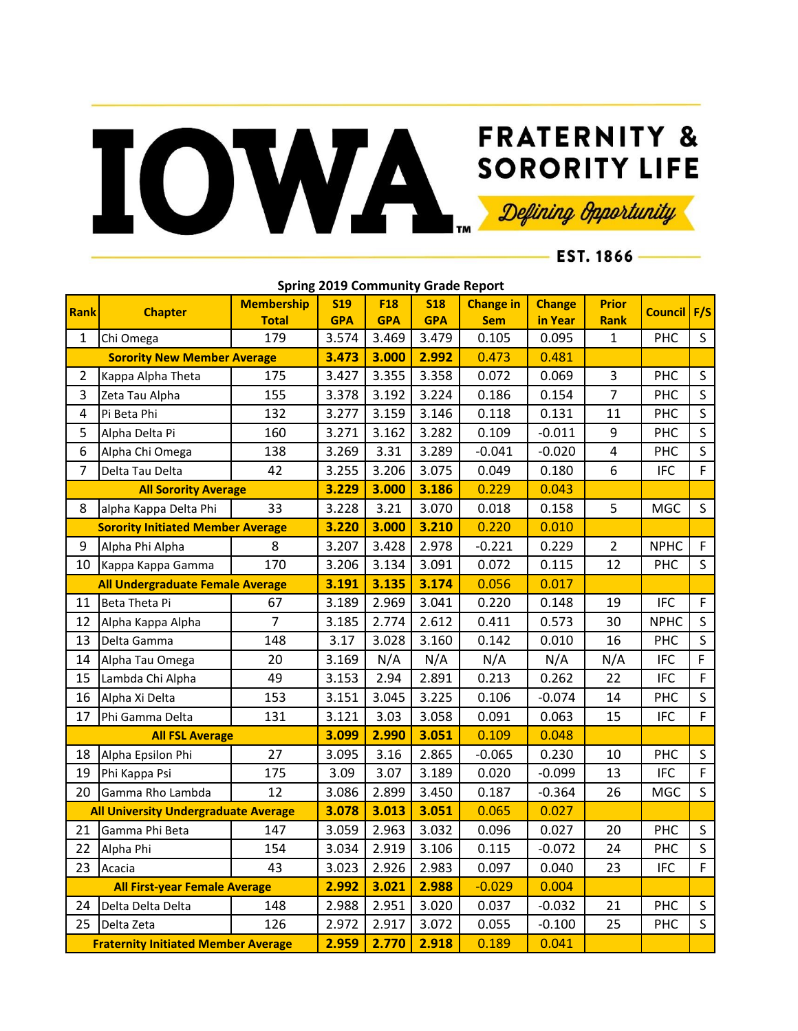## **FRATERNITY &** FRATERNITY & SORORITY LIFE

 $-$  EST. 1866  $-$ 

|                                             | <b>Spring 2019 Community Grade Report</b> |                   |            |            |            |                  |               |                |             |              |
|---------------------------------------------|-------------------------------------------|-------------------|------------|------------|------------|------------------|---------------|----------------|-------------|--------------|
| Rank                                        | <b>Chapter</b>                            | <b>Membership</b> | <b>S19</b> | <b>F18</b> | <b>S18</b> | <b>Change in</b> | <b>Change</b> | <b>Prior</b>   | Council F/S |              |
|                                             |                                           | <b>Total</b>      | <b>GPA</b> | <b>GPA</b> | <b>GPA</b> | <b>Sem</b>       | in Year       | <b>Rank</b>    |             |              |
| 1                                           | Chi Omega                                 | 179               | 3.574      | 3.469      | 3.479      | 0.105            | 0.095         | $\mathbf{1}$   | PHC         | $\mathsf{S}$ |
| <b>Sorority New Member Average</b>          |                                           | 3.473             | 3.000      | 2.992      | 0.473      | 0.481            |               |                |             |              |
| $\overline{2}$                              | Kappa Alpha Theta                         | 175               | 3.427      | 3.355      | 3.358      | 0.072            | 0.069         | 3              | PHC         | S            |
| 3                                           | Zeta Tau Alpha                            | 155               | 3.378      | 3.192      | 3.224      | 0.186            | 0.154         | $\overline{7}$ | PHC         | $\mathsf{S}$ |
| 4                                           | Pi Beta Phi                               | 132               | 3.277      | 3.159      | 3.146      | 0.118            | 0.131         | 11             | PHC         | S            |
| 5                                           | Alpha Delta Pi                            | 160               | 3.271      | 3.162      | 3.282      | 0.109            | $-0.011$      | 9              | PHC         | $\mathsf{S}$ |
| 6                                           | Alpha Chi Omega                           | 138               | 3.269      | 3.31       | 3.289      | $-0.041$         | $-0.020$      | 4              | <b>PHC</b>  | $\mathsf{S}$ |
| 7                                           | Delta Tau Delta                           | 42                | 3.255      | 3.206      | 3.075      | 0.049            | 0.180         | 6              | <b>IFC</b>  | F.           |
|                                             | <b>All Sorority Average</b>               |                   | 3.229      | 3.000      | 3.186      | 0.229            | 0.043         |                |             |              |
| 8                                           | alpha Kappa Delta Phi                     | 33                | 3.228      | 3.21       | 3.070      | 0.018            | 0.158         | 5              | <b>MGC</b>  | S            |
|                                             | <b>Sorority Initiated Member Average</b>  |                   | 3.220      | 3.000      | 3.210      | 0.220            | 0.010         |                |             |              |
| 9                                           | Alpha Phi Alpha                           | 8                 | 3.207      | 3.428      | 2.978      | $-0.221$         | 0.229         | $\overline{2}$ | <b>NPHC</b> | F.           |
| 10                                          | Kappa Kappa Gamma                         | 170               | 3.206      | 3.134      | 3.091      | 0.072            | 0.115         | 12             | <b>PHC</b>  | S            |
|                                             | All Undergraduate Female Average          |                   | 3.191      | 3.135      | 3.174      | 0.056            | 0.017         |                |             |              |
| 11                                          | Beta Theta Pi                             | 67                | 3.189      | 2.969      | 3.041      | 0.220            | 0.148         | 19             | <b>IFC</b>  | F            |
| 12                                          | Alpha Kappa Alpha                         | $\overline{7}$    | 3.185      | 2.774      | 2.612      | 0.411            | 0.573         | 30             | <b>NPHC</b> | $\sf S$      |
| 13                                          | Delta Gamma                               | 148               | 3.17       | 3.028      | 3.160      | 0.142            | 0.010         | 16             | PHC         | S            |
| 14                                          | Alpha Tau Omega                           | 20                | 3.169      | N/A        | N/A        | N/A              | N/A           | N/A            | <b>IFC</b>  | F            |
| 15                                          | Lambda Chi Alpha                          | 49                | 3.153      | 2.94       | 2.891      | 0.213            | 0.262         | 22             | <b>IFC</b>  | F            |
| 16                                          | Alpha Xi Delta                            | 153               | 3.151      | 3.045      | 3.225      | 0.106            | $-0.074$      | 14             | PHC         | S            |
| 17                                          | Phi Gamma Delta                           | 131               | 3.121      | 3.03       | 3.058      | 0.091            | 0.063         | 15             | <b>IFC</b>  | F            |
| <b>All FSL Average</b>                      |                                           | 3.099             | 2.990      | 3.051      | 0.109      | 0.048            |               |                |             |              |
| 18                                          | Alpha Epsilon Phi                         | 27                | 3.095      | 3.16       | 2.865      | $-0.065$         | 0.230         | 10             | PHC         | S            |
| 19                                          | Phi Kappa Psi                             | 175               | 3.09       | 3.07       | 3.189      | 0.020            | $-0.099$      | 13             | <b>IFC</b>  | F            |
| 20                                          | Gamma Rho Lambda                          | 12                | 3.086      | 2.899      | 3.450      | 0.187            | $-0.364$      | 26             | <b>MGC</b>  | $\mathsf{S}$ |
| <b>All University Undergraduate Average</b> |                                           |                   | 3.078      | 3.013      | 3.051      | 0.065            | 0.027         |                |             |              |
| 21                                          | Gamma Phi Beta                            | 147               | 3.059      | 2.963      | 3.032      | 0.096            | 0.027         | 20             | <b>PHC</b>  | S            |
| 22                                          | Alpha Phi                                 | 154               | 3.034      | 2.919      | 3.106      | 0.115            | $-0.072$      | 24             | PHC         | S            |
| 23                                          | Acacia                                    | 43                | 3.023      | 2.926      | 2.983      | 0.097            | 0.040         | 23             | <b>IFC</b>  | F            |
| <b>All First-year Female Average</b>        |                                           | 2.992             | 3.021      | 2.988      | $-0.029$   | 0.004            |               |                |             |              |
| 24                                          | Delta Delta Delta                         | 148               | 2.988      | 2.951      | 3.020      | 0.037            | $-0.032$      | 21             | PHC         | S            |
| 25                                          | Delta Zeta                                | 126               | 2.972      | 2.917      | 3.072      | 0.055            | $-0.100$      | 25             | PHC         | S            |
| <b>Fraternity Initiated Member Average</b>  |                                           |                   | 2.959      | 2.770      | 2.918      | 0.189            | 0.041         |                |             |              |